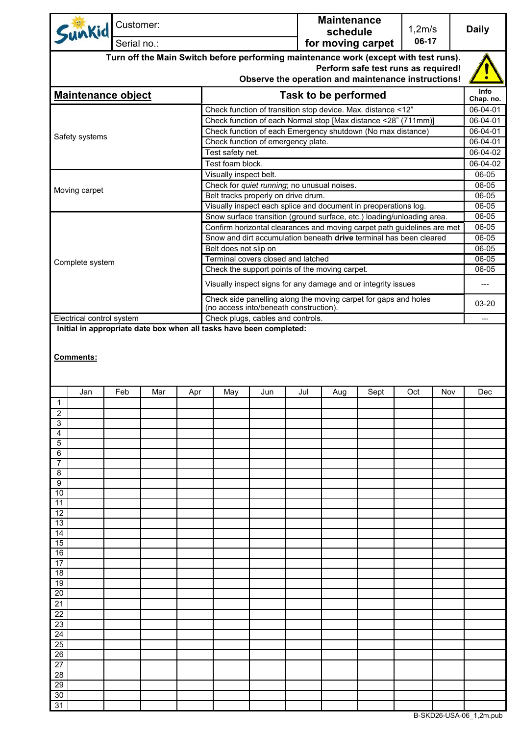| Sunkid                                                                                                                                                                             | Customer:                                                    |                                             |  |                                                                                                                                  |  |  | <b>Maintenance</b><br>schedule |                                                                 | 1,2m/s<br>06-17                                                         |  | <b>Daily</b>          |  |
|------------------------------------------------------------------------------------------------------------------------------------------------------------------------------------|--------------------------------------------------------------|---------------------------------------------|--|----------------------------------------------------------------------------------------------------------------------------------|--|--|--------------------------------|-----------------------------------------------------------------|-------------------------------------------------------------------------|--|-----------------------|--|
| Serial no.:                                                                                                                                                                        |                                                              |                                             |  | for moving carpet                                                                                                                |  |  |                                |                                                                 |                                                                         |  |                       |  |
| Turn off the Main Switch before performing maintenance work (except with test runs).<br>Perform safe test runs as required!<br>Observe the operation and maintenance instructions! |                                                              |                                             |  |                                                                                                                                  |  |  |                                |                                                                 |                                                                         |  |                       |  |
| <b>Maintenance object</b>                                                                                                                                                          |                                                              |                                             |  | <b>Task to be performed</b>                                                                                                      |  |  |                                |                                                                 |                                                                         |  |                       |  |
|                                                                                                                                                                                    |                                                              |                                             |  |                                                                                                                                  |  |  |                                |                                                                 |                                                                         |  | Chap. no.<br>06-04-01 |  |
|                                                                                                                                                                                    |                                                              |                                             |  | Check function of transition stop device. Max. distance <12"<br>Check function of each Normal stop [Max distance <28" (711mm)]   |  |  |                                |                                                                 |                                                                         |  |                       |  |
| Safety systems                                                                                                                                                                     |                                                              |                                             |  |                                                                                                                                  |  |  |                                | Check function of each Emergency shutdown (No max distance)     |                                                                         |  | 06-04-01<br>06-04-01  |  |
|                                                                                                                                                                                    |                                                              |                                             |  | Check function of emergency plate.                                                                                               |  |  |                                |                                                                 |                                                                         |  |                       |  |
|                                                                                                                                                                                    |                                                              |                                             |  | Test safety net.                                                                                                                 |  |  |                                |                                                                 |                                                                         |  |                       |  |
|                                                                                                                                                                                    |                                                              |                                             |  | Test foam block.<br>Visually inspect belt.                                                                                       |  |  |                                |                                                                 |                                                                         |  | 06-04-02<br>06-05     |  |
|                                                                                                                                                                                    |                                                              | Check for quiet running; no unusual noises. |  |                                                                                                                                  |  |  |                                |                                                                 | 06-05                                                                   |  |                       |  |
| Moving carpet                                                                                                                                                                      |                                                              |                                             |  | Belt tracks properly on drive drum.                                                                                              |  |  |                                |                                                                 |                                                                         |  | 06-05                 |  |
|                                                                                                                                                                                    |                                                              |                                             |  |                                                                                                                                  |  |  |                                | Visually inspect each splice and document in preoperations log. |                                                                         |  | 06-05                 |  |
|                                                                                                                                                                                    |                                                              |                                             |  |                                                                                                                                  |  |  |                                |                                                                 | Snow surface transition (ground surface, etc.) loading/unloading area.  |  | 06-05                 |  |
|                                                                                                                                                                                    |                                                              |                                             |  |                                                                                                                                  |  |  |                                |                                                                 | Confirm horizontal clearances and moving carpet path guidelines are met |  | 06-05                 |  |
|                                                                                                                                                                                    |                                                              |                                             |  |                                                                                                                                  |  |  |                                |                                                                 | Snow and dirt accumulation beneath drive terminal has been cleared      |  | 06-05                 |  |
|                                                                                                                                                                                    |                                                              |                                             |  | Belt does not slip on<br>Terminal covers closed and latched                                                                      |  |  |                                |                                                                 |                                                                         |  | $06 - 05$<br>06-05    |  |
| Complete system                                                                                                                                                                    |                                                              |                                             |  | Check the support points of the moving carpet.                                                                                   |  |  |                                |                                                                 |                                                                         |  | 06-05                 |  |
|                                                                                                                                                                                    |                                                              |                                             |  |                                                                                                                                  |  |  |                                |                                                                 |                                                                         |  | ---                   |  |
|                                                                                                                                                                                    |                                                              |                                             |  | Visually inspect signs for any damage and or integrity issues<br>Check side panelling along the moving carpet for gaps and holes |  |  |                                |                                                                 |                                                                         |  |                       |  |
| (no access into/beneath construction).<br>Electrical control system<br>Check plugs, cables and controls.                                                                           |                                                              |                                             |  |                                                                                                                                  |  |  |                                |                                                                 | 03-20<br>---                                                            |  |                       |  |
| Initial in appropriate date box when all tasks have been completed:                                                                                                                |                                                              |                                             |  |                                                                                                                                  |  |  |                                |                                                                 |                                                                         |  |                       |  |
| Jan                                                                                                                                                                                | Feb<br>Mar<br>Jun<br>Jul<br>Sept<br>Oct<br>Apr<br>May<br>Aug |                                             |  |                                                                                                                                  |  |  | Nov                            | Dec                                                             |                                                                         |  |                       |  |
| $\mathbf{1}$                                                                                                                                                                       |                                                              |                                             |  |                                                                                                                                  |  |  |                                |                                                                 |                                                                         |  |                       |  |
| 2                                                                                                                                                                                  |                                                              |                                             |  |                                                                                                                                  |  |  |                                |                                                                 |                                                                         |  |                       |  |
| 3<br>4                                                                                                                                                                             |                                                              |                                             |  |                                                                                                                                  |  |  |                                |                                                                 |                                                                         |  |                       |  |
| 5                                                                                                                                                                                  |                                                              |                                             |  |                                                                                                                                  |  |  |                                |                                                                 |                                                                         |  |                       |  |
| 6                                                                                                                                                                                  |                                                              |                                             |  |                                                                                                                                  |  |  |                                |                                                                 |                                                                         |  |                       |  |
| 7                                                                                                                                                                                  |                                                              |                                             |  |                                                                                                                                  |  |  |                                |                                                                 |                                                                         |  |                       |  |
| 8<br>9                                                                                                                                                                             |                                                              |                                             |  |                                                                                                                                  |  |  |                                |                                                                 |                                                                         |  |                       |  |
| 10                                                                                                                                                                                 |                                                              |                                             |  |                                                                                                                                  |  |  |                                |                                                                 |                                                                         |  |                       |  |
| 11                                                                                                                                                                                 |                                                              |                                             |  |                                                                                                                                  |  |  |                                |                                                                 |                                                                         |  |                       |  |
| 12                                                                                                                                                                                 |                                                              |                                             |  |                                                                                                                                  |  |  |                                |                                                                 |                                                                         |  |                       |  |
| 13<br>14                                                                                                                                                                           |                                                              |                                             |  |                                                                                                                                  |  |  |                                |                                                                 |                                                                         |  |                       |  |
| 15                                                                                                                                                                                 |                                                              |                                             |  |                                                                                                                                  |  |  |                                |                                                                 |                                                                         |  |                       |  |
| 16                                                                                                                                                                                 |                                                              |                                             |  |                                                                                                                                  |  |  |                                |                                                                 |                                                                         |  |                       |  |
| 17                                                                                                                                                                                 |                                                              |                                             |  |                                                                                                                                  |  |  |                                |                                                                 |                                                                         |  |                       |  |
| 18                                                                                                                                                                                 |                                                              |                                             |  |                                                                                                                                  |  |  |                                |                                                                 |                                                                         |  |                       |  |
| 19<br>20                                                                                                                                                                           |                                                              |                                             |  |                                                                                                                                  |  |  |                                |                                                                 |                                                                         |  |                       |  |
| 21                                                                                                                                                                                 |                                                              |                                             |  |                                                                                                                                  |  |  |                                |                                                                 |                                                                         |  |                       |  |
| 22                                                                                                                                                                                 |                                                              |                                             |  |                                                                                                                                  |  |  |                                |                                                                 |                                                                         |  |                       |  |
| 23                                                                                                                                                                                 |                                                              |                                             |  |                                                                                                                                  |  |  |                                |                                                                 |                                                                         |  |                       |  |
| 24                                                                                                                                                                                 |                                                              |                                             |  |                                                                                                                                  |  |  |                                |                                                                 |                                                                         |  |                       |  |
| 25                                                                                                                                                                                 |                                                              |                                             |  |                                                                                                                                  |  |  |                                |                                                                 |                                                                         |  |                       |  |
| 26<br>27                                                                                                                                                                           |                                                              |                                             |  |                                                                                                                                  |  |  |                                |                                                                 |                                                                         |  |                       |  |
| 28                                                                                                                                                                                 |                                                              |                                             |  |                                                                                                                                  |  |  |                                |                                                                 |                                                                         |  |                       |  |
| 29                                                                                                                                                                                 |                                                              |                                             |  |                                                                                                                                  |  |  |                                |                                                                 |                                                                         |  |                       |  |
| 30                                                                                                                                                                                 |                                                              |                                             |  |                                                                                                                                  |  |  |                                |                                                                 |                                                                         |  |                       |  |
| 31                                                                                                                                                                                 |                                                              |                                             |  |                                                                                                                                  |  |  |                                |                                                                 |                                                                         |  |                       |  |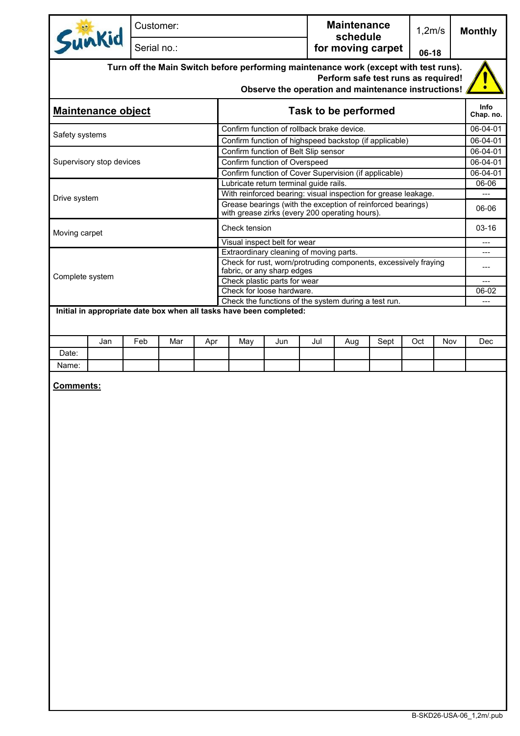|                                                                                            | Sunkid                    | Customer:   |     |     |                                                                                   |                                                                                                               |     | <b>Maintenance</b>            |      | 1,2m/s |     | <b>Monthly</b>           |  |
|--------------------------------------------------------------------------------------------|---------------------------|-------------|-----|-----|-----------------------------------------------------------------------------------|---------------------------------------------------------------------------------------------------------------|-----|-------------------------------|------|--------|-----|--------------------------|--|
|                                                                                            |                           | Serial no.: |     |     |                                                                                   |                                                                                                               |     | schedule<br>for moving carpet |      | 06-18  |     |                          |  |
| Turn off the Main Switch before performing maintenance work (except with test runs).       |                           |             |     |     |                                                                                   |                                                                                                               |     |                               |      |        |     |                          |  |
| Perform safe test runs as required!<br>Observe the operation and maintenance instructions! |                           |             |     |     |                                                                                   |                                                                                                               |     |                               |      |        |     |                          |  |
|                                                                                            |                           |             |     |     |                                                                                   |                                                                                                               |     |                               |      |        |     |                          |  |
|                                                                                            | <b>Maintenance object</b> |             |     |     |                                                                                   |                                                                                                               |     | Task to be performed          |      |        |     | <b>Info</b><br>Chap. no. |  |
| Safety systems                                                                             |                           |             |     |     |                                                                                   | Confirm function of rollback brake device.                                                                    |     |                               |      |        |     | 06-04-01<br>06-04-01     |  |
|                                                                                            |                           |             |     |     |                                                                                   | Confirm function of highspeed backstop (if applicable)<br>Confirm function of Belt Slip sensor                |     |                               |      |        |     | 06-04-01                 |  |
|                                                                                            | Supervisory stop devices  |             |     |     |                                                                                   | Confirm function of Overspeed                                                                                 |     |                               |      |        |     | 06-04-01                 |  |
|                                                                                            |                           |             |     |     |                                                                                   | Confirm function of Cover Supervision (if applicable)                                                         |     |                               |      |        |     | $06 - 04 - 01$           |  |
|                                                                                            |                           |             |     |     |                                                                                   | Lubricate return terminal guide rails.                                                                        |     |                               |      |        |     | 06-06                    |  |
| Drive system                                                                               |                           |             |     |     |                                                                                   | With reinforced bearing: visual inspection for grease leakage.                                                |     |                               |      |        |     | ---                      |  |
|                                                                                            |                           |             |     |     |                                                                                   | Grease bearings (with the exception of reinforced bearings)<br>with grease zirks (every 200 operating hours). |     |                               |      |        |     | 06-06                    |  |
| Moving carpet                                                                              |                           |             |     |     | Check tension                                                                     |                                                                                                               |     |                               |      |        |     | $03 - 16$                |  |
|                                                                                            |                           |             |     |     |                                                                                   | Visual inspect belt for wear                                                                                  |     |                               |      |        |     | ---                      |  |
|                                                                                            |                           |             |     |     |                                                                                   | Extraordinary cleaning of moving parts.<br>Check for rust, worn/protruding components, excessively fraying    |     |                               |      |        |     | ---                      |  |
|                                                                                            |                           |             |     |     |                                                                                   | fabric, or any sharp edges                                                                                    |     |                               |      |        |     | ---                      |  |
| Complete system                                                                            |                           |             |     |     | Check plastic parts for wear                                                      |                                                                                                               |     |                               |      |        |     |                          |  |
|                                                                                            |                           |             |     |     | Check for loose hardware.<br>Check the functions of the system during a test run. |                                                                                                               |     |                               |      |        |     |                          |  |
|                                                                                            |                           |             |     |     |                                                                                   | Initial in appropriate date box when all tasks have been completed:                                           |     |                               |      |        |     | ---                      |  |
|                                                                                            |                           |             |     |     |                                                                                   |                                                                                                               |     |                               |      |        |     |                          |  |
|                                                                                            |                           |             |     |     |                                                                                   |                                                                                                               |     |                               |      |        |     |                          |  |
|                                                                                            | Jan                       | Feb         | Mar | Apr | May                                                                               | Jun                                                                                                           | Jul | Aug                           | Sept | Oct    | Nov | Dec                      |  |
| Date:                                                                                      |                           |             |     |     |                                                                                   |                                                                                                               |     |                               |      |        |     |                          |  |
| Name:                                                                                      |                           |             |     |     |                                                                                   |                                                                                                               |     |                               |      |        |     |                          |  |
| <b>Comments:</b>                                                                           |                           |             |     |     |                                                                                   |                                                                                                               |     |                               |      |        |     |                          |  |
|                                                                                            |                           |             |     |     |                                                                                   |                                                                                                               |     |                               |      |        |     |                          |  |
|                                                                                            |                           |             |     |     |                                                                                   |                                                                                                               |     |                               |      |        |     |                          |  |
|                                                                                            |                           |             |     |     |                                                                                   |                                                                                                               |     |                               |      |        |     |                          |  |
|                                                                                            |                           |             |     |     |                                                                                   |                                                                                                               |     |                               |      |        |     |                          |  |
|                                                                                            |                           |             |     |     |                                                                                   |                                                                                                               |     |                               |      |        |     |                          |  |
|                                                                                            |                           |             |     |     |                                                                                   |                                                                                                               |     |                               |      |        |     |                          |  |
|                                                                                            |                           |             |     |     |                                                                                   |                                                                                                               |     |                               |      |        |     |                          |  |
|                                                                                            |                           |             |     |     |                                                                                   |                                                                                                               |     |                               |      |        |     |                          |  |
|                                                                                            |                           |             |     |     |                                                                                   |                                                                                                               |     |                               |      |        |     |                          |  |
|                                                                                            |                           |             |     |     |                                                                                   |                                                                                                               |     |                               |      |        |     |                          |  |
|                                                                                            |                           |             |     |     |                                                                                   |                                                                                                               |     |                               |      |        |     |                          |  |
|                                                                                            |                           |             |     |     |                                                                                   |                                                                                                               |     |                               |      |        |     |                          |  |
|                                                                                            |                           |             |     |     |                                                                                   |                                                                                                               |     |                               |      |        |     |                          |  |
|                                                                                            |                           |             |     |     |                                                                                   |                                                                                                               |     |                               |      |        |     |                          |  |
|                                                                                            |                           |             |     |     |                                                                                   |                                                                                                               |     |                               |      |        |     |                          |  |
|                                                                                            |                           |             |     |     |                                                                                   |                                                                                                               |     |                               |      |        |     |                          |  |
|                                                                                            |                           |             |     |     |                                                                                   |                                                                                                               |     |                               |      |        |     |                          |  |
|                                                                                            |                           |             |     |     |                                                                                   |                                                                                                               |     |                               |      |        |     |                          |  |
|                                                                                            |                           |             |     |     |                                                                                   |                                                                                                               |     |                               |      |        |     |                          |  |
|                                                                                            |                           |             |     |     |                                                                                   |                                                                                                               |     |                               |      |        |     |                          |  |
|                                                                                            |                           |             |     |     |                                                                                   |                                                                                                               |     |                               |      |        |     |                          |  |
|                                                                                            |                           |             |     |     |                                                                                   |                                                                                                               |     |                               |      |        |     |                          |  |
|                                                                                            |                           |             |     |     |                                                                                   |                                                                                                               |     |                               |      |        |     |                          |  |